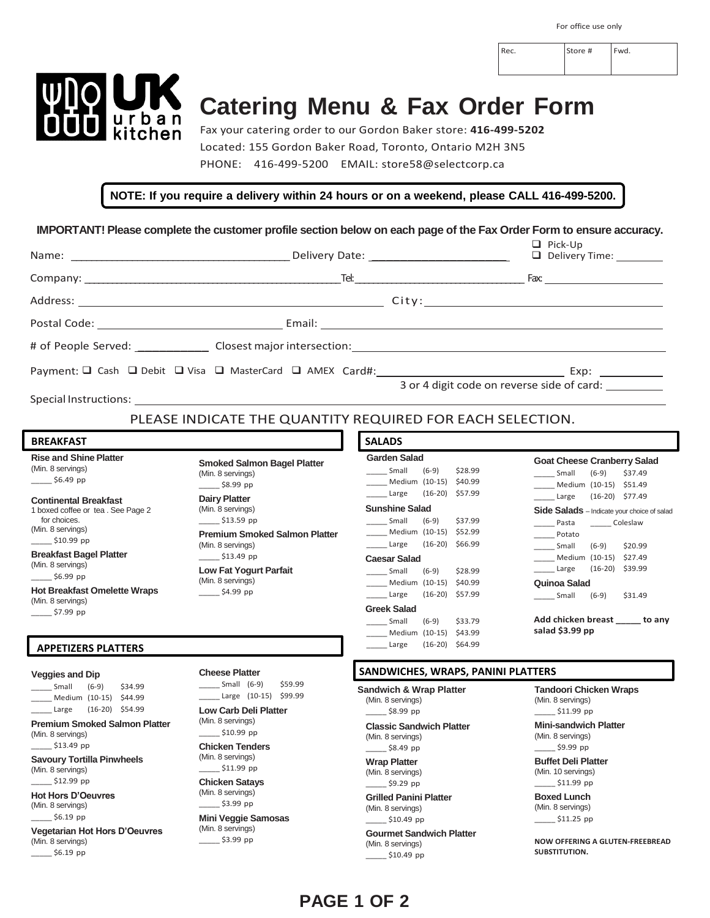Rec. Store # Fwd.



 $-$ \$6.19 pp

# **Catering Menu & Fax Order Form**

Fax your catering order to our Gordon Baker store: **416-499-5202** Located: 155 Gordon Baker Road, Toronto, Ontario M2H 3N5 PHONE: 416-499-5200 EMAIL: store58@selectcorp.ca

#### **NOTE: If you require a delivery within 24 hours or on a weekend, please CALL 416-499-5200.**

**IMPORTANT! Please complete the customer profile section below on each page of the Fax Order Form to ensure accuracy.**

|                                                                                                                                                                                                                                                                                                                                                                                                                                     |                                                                                                                                                                                                                                                                                                                                                                                                 |                                                                                                                                                                                                                                                                                                                                                                                                                                                                                           | $\Box$ Pick-Up<br>Delivery Time: ________                                                                                                                                                                                                                                                                                                                                                                               |
|-------------------------------------------------------------------------------------------------------------------------------------------------------------------------------------------------------------------------------------------------------------------------------------------------------------------------------------------------------------------------------------------------------------------------------------|-------------------------------------------------------------------------------------------------------------------------------------------------------------------------------------------------------------------------------------------------------------------------------------------------------------------------------------------------------------------------------------------------|-------------------------------------------------------------------------------------------------------------------------------------------------------------------------------------------------------------------------------------------------------------------------------------------------------------------------------------------------------------------------------------------------------------------------------------------------------------------------------------------|-------------------------------------------------------------------------------------------------------------------------------------------------------------------------------------------------------------------------------------------------------------------------------------------------------------------------------------------------------------------------------------------------------------------------|
|                                                                                                                                                                                                                                                                                                                                                                                                                                     |                                                                                                                                                                                                                                                                                                                                                                                                 |                                                                                                                                                                                                                                                                                                                                                                                                                                                                                           |                                                                                                                                                                                                                                                                                                                                                                                                                         |
|                                                                                                                                                                                                                                                                                                                                                                                                                                     |                                                                                                                                                                                                                                                                                                                                                                                                 |                                                                                                                                                                                                                                                                                                                                                                                                                                                                                           |                                                                                                                                                                                                                                                                                                                                                                                                                         |
|                                                                                                                                                                                                                                                                                                                                                                                                                                     |                                                                                                                                                                                                                                                                                                                                                                                                 |                                                                                                                                                                                                                                                                                                                                                                                                                                                                                           |                                                                                                                                                                                                                                                                                                                                                                                                                         |
|                                                                                                                                                                                                                                                                                                                                                                                                                                     |                                                                                                                                                                                                                                                                                                                                                                                                 |                                                                                                                                                                                                                                                                                                                                                                                                                                                                                           |                                                                                                                                                                                                                                                                                                                                                                                                                         |
|                                                                                                                                                                                                                                                                                                                                                                                                                                     |                                                                                                                                                                                                                                                                                                                                                                                                 |                                                                                                                                                                                                                                                                                                                                                                                                                                                                                           |                                                                                                                                                                                                                                                                                                                                                                                                                         |
|                                                                                                                                                                                                                                                                                                                                                                                                                                     | Special Instructions: the control of the control of the control of the control of the control of the control of the control of the control of the control of the control of the control of the control of the control of the c                                                                                                                                                                  |                                                                                                                                                                                                                                                                                                                                                                                                                                                                                           | 3 or 4 digit code on reverse side of card:                                                                                                                                                                                                                                                                                                                                                                              |
|                                                                                                                                                                                                                                                                                                                                                                                                                                     | PLEASE INDICATE THE QUANTITY REQUIRED FOR EACH SELECTION.                                                                                                                                                                                                                                                                                                                                       |                                                                                                                                                                                                                                                                                                                                                                                                                                                                                           |                                                                                                                                                                                                                                                                                                                                                                                                                         |
| <b>BREAKFAST</b>                                                                                                                                                                                                                                                                                                                                                                                                                    |                                                                                                                                                                                                                                                                                                                                                                                                 | <b>SALADS</b>                                                                                                                                                                                                                                                                                                                                                                                                                                                                             |                                                                                                                                                                                                                                                                                                                                                                                                                         |
| <b>Rise and Shine Platter</b><br>(Min. 8 servings)<br>$\frac{1}{2}$ \$6.49 pp<br><b>Continental Breakfast</b><br>1 boxed coffee or tea. See Page 2<br>for choices.<br>(Min. 8 servings)<br>$\frac{\text{510.99 pp}}{}$<br><b>Breakfast Bagel Platter</b><br>(Min. 8 servings)<br>$\frac{\text{56.99 pp}}{}$<br><b>Hot Breakfast Omelette Wraps</b><br>(Min. 8 servings)<br>$\frac{\text{57.99 pp}}{}$<br><b>APPETIZERS PLATTERS</b> | <b>Smoked Salmon Bagel Platter</b><br>(Min. 8 servings)<br>58.99 pp<br><b>Dairy Platter</b><br>(Min. 8 servings)<br>\$13.59 pp<br><b>Premium Smoked Salmon Platter</b><br>(Min. 8 servings)<br>\$13.49 pp<br><b>Low Fat Yogurt Parfait</b><br>(Min. 8 servings)<br>\$4.99 pp                                                                                                                    | <b>Garden Salad</b><br>______ Small<br>$(6-9)$<br>\$28.99<br>_____ Medium (10-15) \$40.99<br>$(16-20)$ \$57.99<br>Large<br><b>Sunshine Salad</b><br>Small<br>$(6-9)$<br>\$37.99<br>Medium (10-15) \$52.99<br>$(16-20)$ \$66.99<br>Large<br><b>Caesar Salad</b><br>Small<br>$(6-9)$<br>\$28.99<br>Medium (10-15) \$40.99<br>________ Large<br>$(16-20)$ \$57.99<br><b>Greek Salad</b><br>Small<br>$(6-9)$<br>\$33.79<br>Medium (10-15) \$43.99<br>$\frac{1}{2}$ Large<br>$(16-20)$ \$64.99 | <b>Goat Cheese Cranberry Salad</b><br>Small<br>$(6-9)$<br>\$37.49<br>Medium (10-15) \$51.49<br>$(16-20)$ \$77.49<br>Large<br>Side Salads - Indicate your choice of salad<br>Pasta<br>_______ Coleslaw<br>Potato<br>$\frac{1}{2}$ Small<br>$(6-9)$<br>\$20.99<br>Medium (10-15) \$27.49<br>$(16-20)$ \$39.99<br>Large<br>Quinoa Salad<br>$Small$ (6-9)<br>\$31.49<br>Add chicken breast ______ to any<br>salad \$3.99 pp |
| <b>Veggies and Dip</b><br>______ Small<br>$(6-9)$<br>\$34.99<br>Medium (10-15) \$44.99<br>Large (16-20) \$54.99<br><b>Premium Smoked Salmon Platter</b><br>(Min. 8 servings)<br>$\frac{\$13.49 \text{ pp}}{}$<br><b>Savoury Tortilla Pinwheels</b><br>(Min. 8 servings)<br>\$12.99 pp<br><b>Hot Hors D'Oeuvres</b><br>(Min. 8 servings)<br>\$6.19 pp<br><b>Vegetarian Hot Hors D'Oeuvres</b><br>(Min. 8 servings)                   | <b>Cheese Platter</b><br>$\frac{1}{2}$ Small (6-9)<br>\$59.99<br>$\frac{1}{2}$ Large (10-15) \$99.99<br><b>Low Carb Deli Platter</b><br>(Min. 8 servings)<br>$\frac{$10.99}{2}$ pp<br><b>Chicken Tenders</b><br>(Min. 8 servings)<br>__ \$11.99 pp<br><b>Chicken Satays</b><br>(Min. 8 servings)<br>$-$ \$3.99 pp<br><b>Mini Veggie Samosas</b><br>(Min. 8 servings)<br>$\frac{1}{2}$ \$3.99 pp | SANDWICHES, WRAPS, PANINI PLATTERS<br><b>Sandwich &amp; Wrap Platter</b><br>(Min. 8 servings)<br>$\frac{\$8.99 \text{ pp}}{}$<br><b>Classic Sandwich Platter</b><br>(Min. 8 servings)<br>$\frac{\$8.49 \text{ pp}}{}$<br><b>Wrap Platter</b><br>(Min. 8 servings)<br>_\$9.29 pp<br><b>Grilled Panini Platter</b><br>(Min. 8 servings)<br>$\frac{\text{510.49 pp}}{}$<br><b>Gourmet Sandwich Platter</b><br>(Min. 8 servings)                                                              | <b>Tandoori Chicken Wraps</b><br>(Min. 8 servings)<br>$\frac{\$11.99}{\$11.99}$ pp<br><b>Mini-sandwich Platter</b><br>(Min. 8 servings)<br>_____ \$9.99 pp<br><b>Buffet Deli Platter</b><br>(Min. 10 servings)<br>$\frac{\text{511.99 pp}}{}$<br><b>Boxed Lunch</b><br>(Min. 8 servings)<br>$\frac{\text{511.25 pp}}{}$<br><b>NOW OFFERING A GLUTEN-FREEBREAD</b>                                                       |

#### **PAGE 1 OF 2**

\_\_\_\_\_ \$10.49 pp

**SUBSTITUTION.**